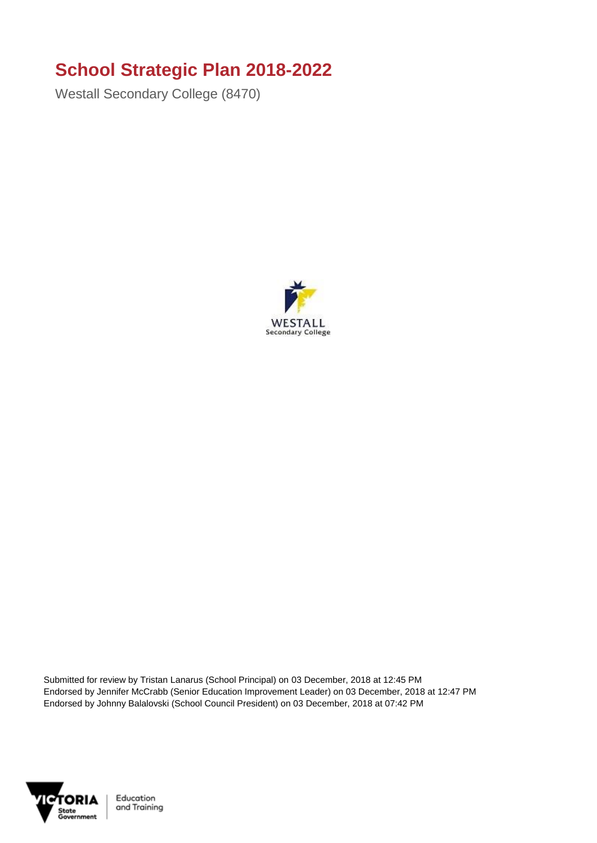## **School Strategic Plan 2018-2022**

Westall Secondary College (8470)



Submitted for review by Tristan Lanarus (School Principal) on 03 December, 2018 at 12:45 PM Endorsed by Jennifer McCrabb (Senior Education Improvement Leader) on 03 December, 2018 at 12:47 PM Endorsed by Johnny Balalovski (School Council President) on 03 December, 2018 at 07:42 PM

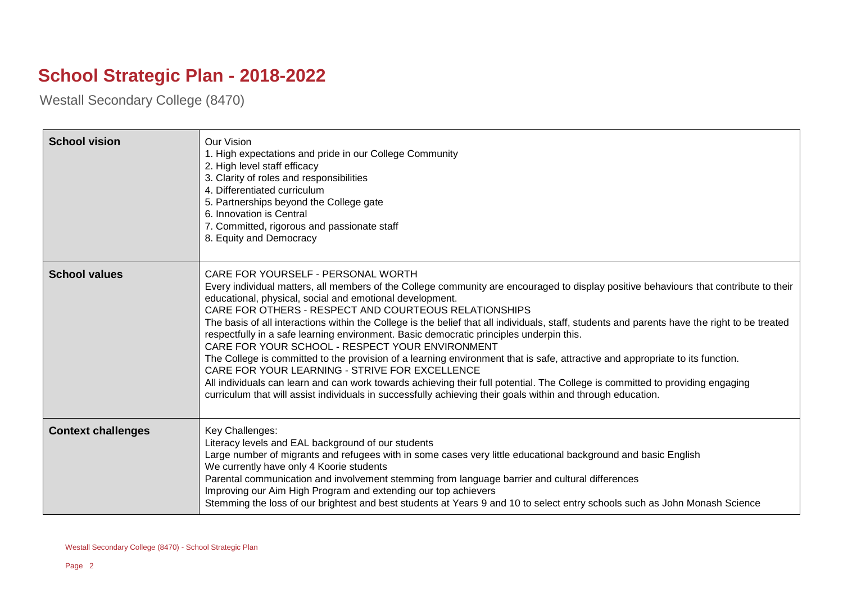## **School Strategic Plan - 2018-2022**

Westall Secondary College (8470)

| <b>School vision</b>      | Our Vision<br>1. High expectations and pride in our College Community<br>2. High level staff efficacy<br>3. Clarity of roles and responsibilities<br>4. Differentiated curriculum<br>5. Partnerships beyond the College gate<br>6. Innovation is Central<br>7. Committed, rigorous and passionate staff<br>8. Equity and Democracy                                                                                                                                                                                                                                                                                                                                                                                                                                                                                                                                                                                                                                                                                                 |
|---------------------------|------------------------------------------------------------------------------------------------------------------------------------------------------------------------------------------------------------------------------------------------------------------------------------------------------------------------------------------------------------------------------------------------------------------------------------------------------------------------------------------------------------------------------------------------------------------------------------------------------------------------------------------------------------------------------------------------------------------------------------------------------------------------------------------------------------------------------------------------------------------------------------------------------------------------------------------------------------------------------------------------------------------------------------|
| <b>School values</b>      | CARE FOR YOURSELF - PERSONAL WORTH<br>Every individual matters, all members of the College community are encouraged to display positive behaviours that contribute to their<br>educational, physical, social and emotional development.<br>CARE FOR OTHERS - RESPECT AND COURTEOUS RELATIONSHIPS<br>The basis of all interactions within the College is the belief that all individuals, staff, students and parents have the right to be treated<br>respectfully in a safe learning environment. Basic democratic principles underpin this.<br>CARE FOR YOUR SCHOOL - RESPECT YOUR ENVIRONMENT<br>The College is committed to the provision of a learning environment that is safe, attractive and appropriate to its function.<br>CARE FOR YOUR LEARNING - STRIVE FOR EXCELLENCE<br>All individuals can learn and can work towards achieving their full potential. The College is committed to providing engaging<br>curriculum that will assist individuals in successfully achieving their goals within and through education. |
| <b>Context challenges</b> | Key Challenges:<br>Literacy levels and EAL background of our students<br>Large number of migrants and refugees with in some cases very little educational background and basic English<br>We currently have only 4 Koorie students<br>Parental communication and involvement stemming from language barrier and cultural differences<br>Improving our Aim High Program and extending our top achievers<br>Stemming the loss of our brightest and best students at Years 9 and 10 to select entry schools such as John Monash Science                                                                                                                                                                                                                                                                                                                                                                                                                                                                                               |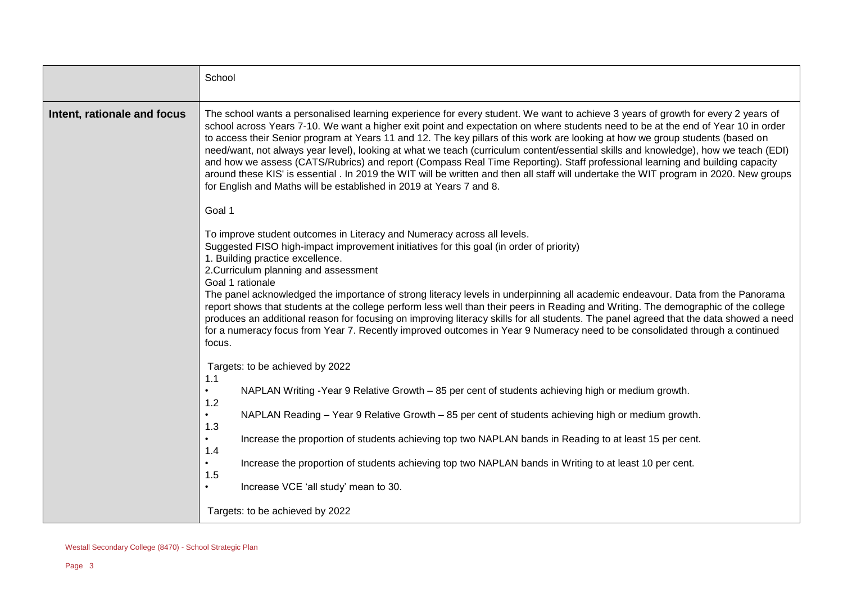|                             | School                                                                                                                                                                                                                                                                                                                                                                                                                                                                                                                                                                                                                                                                                                                                                                                                                                                                                          |
|-----------------------------|-------------------------------------------------------------------------------------------------------------------------------------------------------------------------------------------------------------------------------------------------------------------------------------------------------------------------------------------------------------------------------------------------------------------------------------------------------------------------------------------------------------------------------------------------------------------------------------------------------------------------------------------------------------------------------------------------------------------------------------------------------------------------------------------------------------------------------------------------------------------------------------------------|
| Intent, rationale and focus | The school wants a personalised learning experience for every student. We want to achieve 3 years of growth for every 2 years of<br>school across Years 7-10. We want a higher exit point and expectation on where students need to be at the end of Year 10 in order<br>to access their Senior program at Years 11 and 12. The key pillars of this work are looking at how we group students (based on<br>need/want, not always year level), looking at what we teach (curriculum content/essential skills and knowledge), how we teach (EDI)<br>and how we assess (CATS/Rubrics) and report (Compass Real Time Reporting). Staff professional learning and building capacity<br>around these KIS' is essential . In 2019 the WIT will be written and then all staff will undertake the WIT program in 2020. New groups<br>for English and Maths will be established in 2019 at Years 7 and 8. |
|                             | Goal 1                                                                                                                                                                                                                                                                                                                                                                                                                                                                                                                                                                                                                                                                                                                                                                                                                                                                                          |
|                             | To improve student outcomes in Literacy and Numeracy across all levels.<br>Suggested FISO high-impact improvement initiatives for this goal (in order of priority)<br>1. Building practice excellence.<br>2. Curriculum planning and assessment<br>Goal 1 rationale<br>The panel acknowledged the importance of strong literacy levels in underpinning all academic endeavour. Data from the Panorama<br>report shows that students at the college perform less well than their peers in Reading and Writing. The demographic of the college<br>produces an additional reason for focusing on improving literacy skills for all students. The panel agreed that the data showed a need<br>for a numeracy focus from Year 7. Recently improved outcomes in Year 9 Numeracy need to be consolidated through a continued<br>focus.                                                                 |
|                             | Targets: to be achieved by 2022                                                                                                                                                                                                                                                                                                                                                                                                                                                                                                                                                                                                                                                                                                                                                                                                                                                                 |
|                             | 1.1<br>NAPLAN Writing -Year 9 Relative Growth - 85 per cent of students achieving high or medium growth.<br>$\bullet$                                                                                                                                                                                                                                                                                                                                                                                                                                                                                                                                                                                                                                                                                                                                                                           |
|                             | 1.2<br>NAPLAN Reading - Year 9 Relative Growth - 85 per cent of students achieving high or medium growth.<br>$\bullet$                                                                                                                                                                                                                                                                                                                                                                                                                                                                                                                                                                                                                                                                                                                                                                          |
|                             | 1.3<br>Increase the proportion of students achieving top two NAPLAN bands in Reading to at least 15 per cent.<br>$\bullet$                                                                                                                                                                                                                                                                                                                                                                                                                                                                                                                                                                                                                                                                                                                                                                      |
|                             | 1.4<br>Increase the proportion of students achieving top two NAPLAN bands in Writing to at least 10 per cent.                                                                                                                                                                                                                                                                                                                                                                                                                                                                                                                                                                                                                                                                                                                                                                                   |
|                             | 1.5<br>Increase VCE 'all study' mean to 30.                                                                                                                                                                                                                                                                                                                                                                                                                                                                                                                                                                                                                                                                                                                                                                                                                                                     |
|                             | Targets: to be achieved by 2022                                                                                                                                                                                                                                                                                                                                                                                                                                                                                                                                                                                                                                                                                                                                                                                                                                                                 |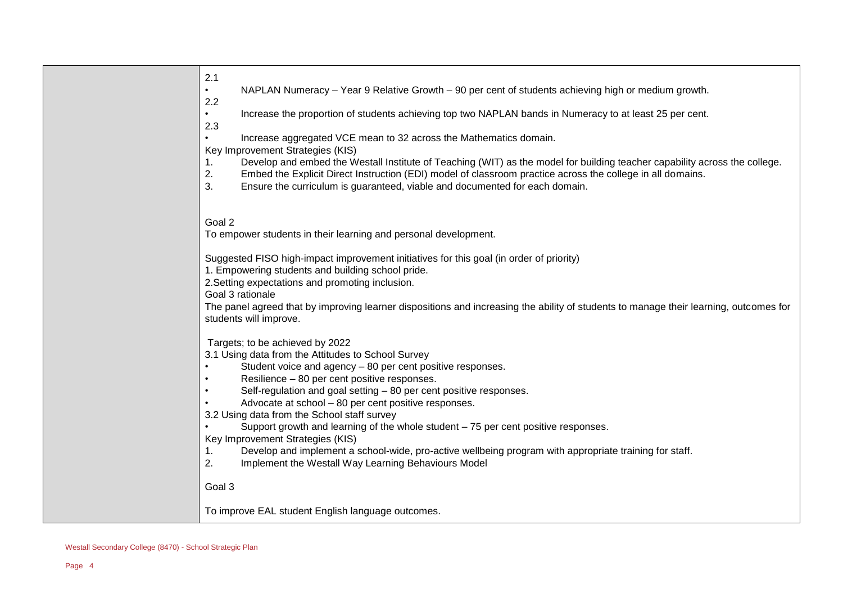| 2.1<br>$\bullet$ | NAPLAN Numeracy - Year 9 Relative Growth - 90 per cent of students achieving high or medium growth.                                                             |
|------------------|-----------------------------------------------------------------------------------------------------------------------------------------------------------------|
| 2.2              |                                                                                                                                                                 |
| $\bullet$        | Increase the proportion of students achieving top two NAPLAN bands in Numeracy to at least 25 per cent.                                                         |
| 2.3              |                                                                                                                                                                 |
| $\bullet$        | Increase aggregated VCE mean to 32 across the Mathematics domain.                                                                                               |
| 1.               | Key Improvement Strategies (KIS)<br>Develop and embed the Westall Institute of Teaching (WIT) as the model for building teacher capability across the college.  |
| 2.               | Embed the Explicit Direct Instruction (EDI) model of classroom practice across the college in all domains.                                                      |
| 3.               | Ensure the curriculum is guaranteed, viable and documented for each domain.                                                                                     |
|                  |                                                                                                                                                                 |
| Goal 2           | To empower students in their learning and personal development.                                                                                                 |
|                  |                                                                                                                                                                 |
|                  | Suggested FISO high-impact improvement initiatives for this goal (in order of priority)                                                                         |
|                  | 1. Empowering students and building school pride.                                                                                                               |
|                  | 2. Setting expectations and promoting inclusion.                                                                                                                |
|                  | Goal 3 rationale                                                                                                                                                |
|                  | The panel agreed that by improving learner dispositions and increasing the ability of students to manage their learning, outcomes for<br>students will improve. |
|                  | Targets; to be achieved by 2022                                                                                                                                 |
|                  | 3.1 Using data from the Attitudes to School Survey                                                                                                              |
| $\bullet$        | Student voice and agency - 80 per cent positive responses.                                                                                                      |
| $\bullet$        | Resilience - 80 per cent positive responses.                                                                                                                    |
| $\bullet$        | Self-regulation and goal setting - 80 per cent positive responses.                                                                                              |
|                  | Advocate at school - 80 per cent positive responses.<br>3.2 Using data from the School staff survey                                                             |
|                  | Support growth and learning of the whole student $-75$ per cent positive responses.                                                                             |
|                  | Key Improvement Strategies (KIS)                                                                                                                                |
| 1.               | Develop and implement a school-wide, pro-active wellbeing program with appropriate training for staff.                                                          |
| 2.               | Implement the Westall Way Learning Behaviours Model                                                                                                             |
| Goal 3           |                                                                                                                                                                 |
|                  |                                                                                                                                                                 |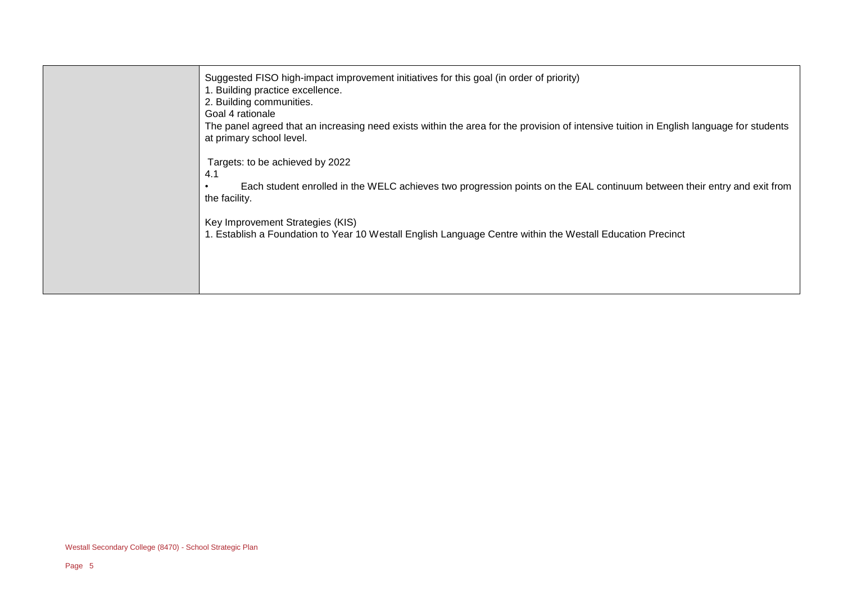| Suggested FISO high-impact improvement initiatives for this goal (in order of priority)<br>1. Building practice excellence.<br>2. Building communities.<br>Goal 4 rationale<br>The panel agreed that an increasing need exists within the area for the provision of intensive tuition in English language for students<br>at primary school level. |
|----------------------------------------------------------------------------------------------------------------------------------------------------------------------------------------------------------------------------------------------------------------------------------------------------------------------------------------------------|
| Targets: to be achieved by 2022<br>4.1<br>Each student enrolled in the WELC achieves two progression points on the EAL continuum between their entry and exit from<br>the facility.                                                                                                                                                                |
| Key Improvement Strategies (KIS)<br>1. Establish a Foundation to Year 10 Westall English Language Centre within the Westall Education Precinct                                                                                                                                                                                                     |
|                                                                                                                                                                                                                                                                                                                                                    |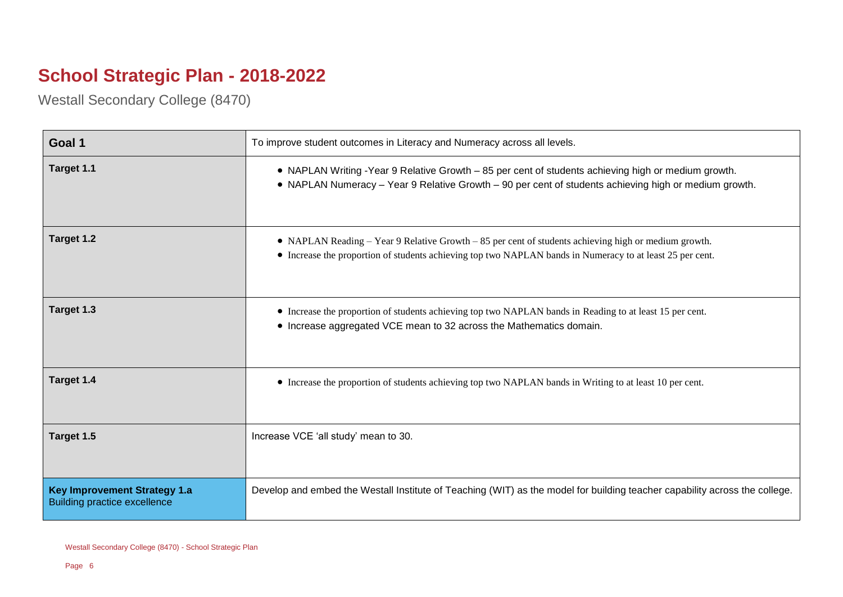## **School Strategic Plan - 2018-2022**

Westall Secondary College (8470)

| Goal 1                                                                     | To improve student outcomes in Literacy and Numeracy across all levels.                                                                                                                                           |
|----------------------------------------------------------------------------|-------------------------------------------------------------------------------------------------------------------------------------------------------------------------------------------------------------------|
| Target 1.1                                                                 | • NAPLAN Writing -Year 9 Relative Growth - 85 per cent of students achieving high or medium growth.<br>• NAPLAN Numeracy - Year 9 Relative Growth - 90 per cent of students achieving high or medium growth.      |
| Target 1.2                                                                 | • NAPLAN Reading – Year 9 Relative Growth – 85 per cent of students achieving high or medium growth.<br>• Increase the proportion of students achieving top two NAPLAN bands in Numeracy to at least 25 per cent. |
| Target 1.3                                                                 | • Increase the proportion of students achieving top two NAPLAN bands in Reading to at least 15 per cent.<br>• Increase aggregated VCE mean to 32 across the Mathematics domain.                                   |
| Target 1.4                                                                 | • Increase the proportion of students achieving top two NAPLAN bands in Writing to at least 10 per cent.                                                                                                          |
| Target 1.5                                                                 | Increase VCE 'all study' mean to 30.                                                                                                                                                                              |
| <b>Key Improvement Strategy 1.a</b><br><b>Building practice excellence</b> | Develop and embed the Westall Institute of Teaching (WIT) as the model for building teacher capability across the college.                                                                                        |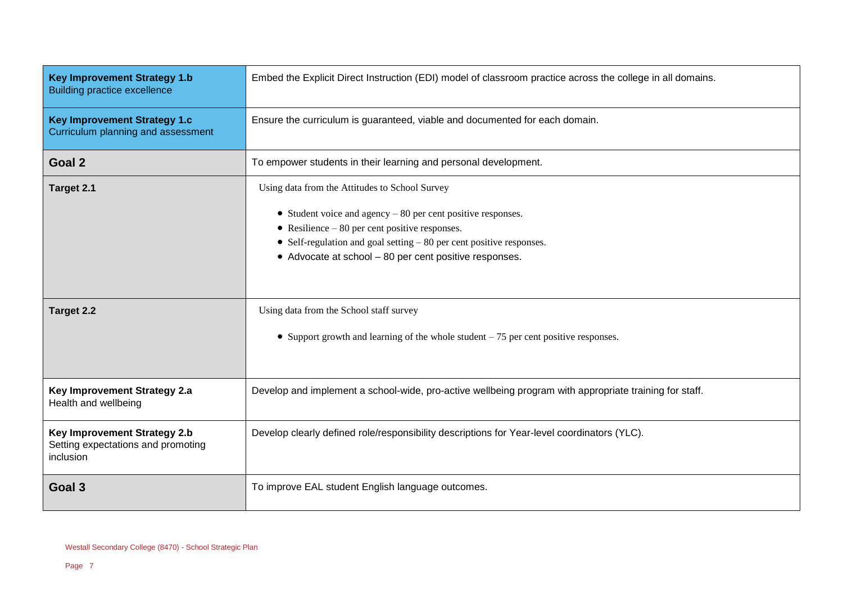| <b>Key Improvement Strategy 1.b</b><br><b>Building practice excellence</b>      | Embed the Explicit Direct Instruction (EDI) model of classroom practice across the college in all domains.                                                                                                                                                                                            |
|---------------------------------------------------------------------------------|-------------------------------------------------------------------------------------------------------------------------------------------------------------------------------------------------------------------------------------------------------------------------------------------------------|
| <b>Key Improvement Strategy 1.c</b><br>Curriculum planning and assessment       | Ensure the curriculum is guaranteed, viable and documented for each domain.                                                                                                                                                                                                                           |
| Goal 2                                                                          | To empower students in their learning and personal development.                                                                                                                                                                                                                                       |
| Target 2.1                                                                      | Using data from the Attitudes to School Survey<br>• Student voice and agency $-80$ per cent positive responses.<br>• Resilience $-80$ per cent positive responses.<br>• Self-regulation and goal setting $-80$ per cent positive responses.<br>• Advocate at school - 80 per cent positive responses. |
| Target 2.2                                                                      | Using data from the School staff survey<br>• Support growth and learning of the whole student $-75$ per cent positive responses.                                                                                                                                                                      |
| Key Improvement Strategy 2.a<br>Health and wellbeing                            | Develop and implement a school-wide, pro-active wellbeing program with appropriate training for staff.                                                                                                                                                                                                |
| Key Improvement Strategy 2.b<br>Setting expectations and promoting<br>inclusion | Develop clearly defined role/responsibility descriptions for Year-level coordinators (YLC).                                                                                                                                                                                                           |
| Goal 3                                                                          | To improve EAL student English language outcomes.                                                                                                                                                                                                                                                     |